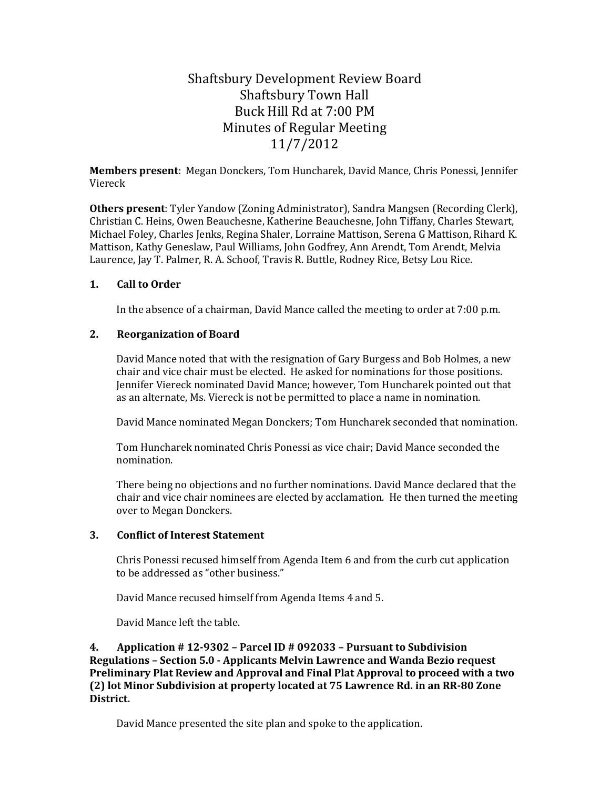# Shaftsbury Development Review Board Shaftsbury Town Hall Buck Hill Rd at 7:00 PM Minutes of Regular Meeting 11/7/2012

**Members present**: Megan Donckers, Tom Huncharek, David Mance, Chris Ponessi, Jennifer Viereck

**Others present**: Tyler Yandow (Zoning Administrator), Sandra Mangsen (Recording Clerk), Christian C. Heins, Owen Beauchesne, Katherine Beauchesne, John Tiffany, Charles Stewart, Michael Foley, Charles Jenks, Regina Shaler, Lorraine Mattison, Serena G Mattison, Rihard K. Mattison, Kathy Geneslaw, Paul Williams, John Godfrey, Ann Arendt, Tom Arendt, Melvia Laurence, Jay T. Palmer, R. A. Schoof, Travis R. Buttle, Rodney Rice, Betsy Lou Rice.

## **1. Call to Order**

In the absence of a chairman, David Mance called the meeting to order at 7:00 p.m.

## **2. Reorganization of Board**

David Mance noted that with the resignation of Gary Burgess and Bob Holmes, a new chair and vice chair must be elected. He asked for nominations for those positions. Jennifer Viereck nominated David Mance; however, Tom Huncharek pointed out that as an alternate, Ms. Viereck is not be permitted to place a name in nomination.

David Mance nominated Megan Donckers; Tom Huncharek seconded that nomination.

Tom Huncharek nominated Chris Ponessi as vice chair; David Mance seconded the nomination.

There being no objections and no further nominations. David Mance declared that the chair and vice chair nominees are elected by acclamation. He then turned the meeting over to Megan Donckers.

## **3. Conflict of Interest Statement**

Chris Ponessi recused himself from Agenda Item 6 and from the curb cut application to be addressed as "other business."

David Mance recused himself from Agenda Items 4 and 5.

David Mance left the table.

**4. Application # 12-9302 – Parcel ID # 092033 – Pursuant to Subdivision Regulations – Section 5.0 - Applicants Melvin Lawrence and Wanda Bezio request Preliminary Plat Review and Approval and Final Plat Approval to proceed with a two (2) lot Minor Subdivision at property located at 75 Lawrence Rd. in an RR-80 Zone District.** 

David Mance presented the site plan and spoke to the application.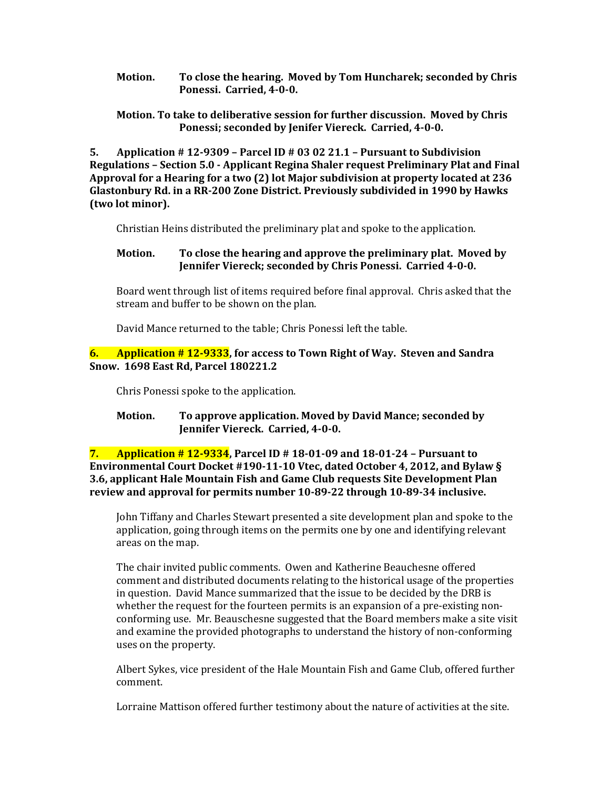**Motion. To close the hearing. Moved by Tom Huncharek; seconded by Chris Ponessi. Carried, 4-0-0.** 

## **Motion. To take to deliberative session for further discussion. Moved by Chris Ponessi; seconded by Jenifer Viereck. Carried, 4-0-0.**

**5. Application # 12-9309 – Parcel ID # 03 02 21.1 – Pursuant to Subdivision Regulations – Section 5.0 - Applicant Regina Shaler request Preliminary Plat and Final Approval for a Hearing for a two (2) lot Major subdivision at property located at 236 Glastonbury Rd. in a RR-200 Zone District. Previously subdivided in 1990 by Hawks (two lot minor).** 

Christian Heins distributed the preliminary plat and spoke to the application.

# **Motion. To close the hearing and approve the preliminary plat. Moved by Jennifer Viereck; seconded by Chris Ponessi. Carried 4-0-0.**

Board went through list of items required before final approval. Chris asked that the stream and buffer to be shown on the plan.

David Mance returned to the table; Chris Ponessi left the table.

## **6. Application # 12-9333, for access to Town Right of Way. Steven and Sandra Snow. 1698 East Rd, Parcel 180221.2**

Chris Ponessi spoke to the application.

## **Motion. To approve application. Moved by David Mance; seconded by Jennifer Viereck. Carried, 4-0-0.**

**7. Application # 12-9334, Parcel ID # 18-01-09 and 18-01-24 – Pursuant to Environmental Court Docket #190-11-10 Vtec, dated October 4, 2012, and Bylaw § 3.6, applicant Hale Mountain Fish and Game Club requests Site Development Plan review and approval for permits number 10-89-22 through 10-89-34 inclusive.** 

John Tiffany and Charles Stewart presented a site development plan and spoke to the application, going through items on the permits one by one and identifying relevant areas on the map.

The chair invited public comments. Owen and Katherine Beauchesne offered comment and distributed documents relating to the historical usage of the properties in question. David Mance summarized that the issue to be decided by the DRB is whether the request for the fourteen permits is an expansion of a pre-existing nonconforming use. Mr. Beauschesne suggested that the Board members make a site visit and examine the provided photographs to understand the history of non-conforming uses on the property.

Albert Sykes, vice president of the Hale Mountain Fish and Game Club, offered further comment.

Lorraine Mattison offered further testimony about the nature of activities at the site.